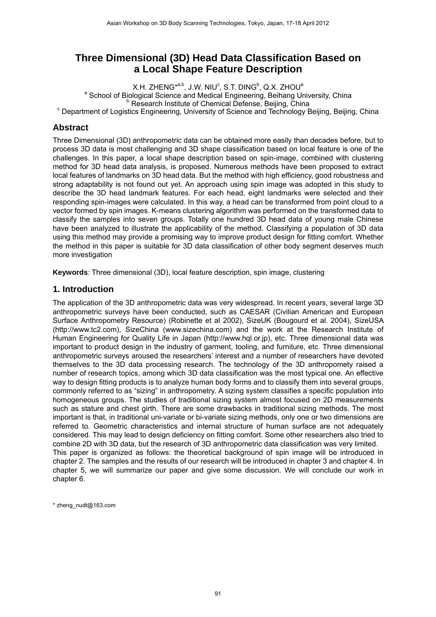# **Three Dimensional (3D) Head Data Classification Based on a Local Shape Feature Description**

X.H. ZHENG<sup>\*a,b</sup>, J.W. NIU<sup>c</sup>, S.T. DING<sup>b</sup>, Q.X. ZHOU<sup>a</sup><br><sup>8</sup> Sebeel of Pielegiael Sejence and Medieel Engineering, Rejbeng Un <sup>a</sup> School of Biological Science and Medical Engineering, Beihang University, China b<br><sup>b</sup> Research Institute of Chemical Defense, Beijing, China  $^{\circ}$  Pesearch Institute of Chemical Defense, Beijing, China<br>Ching, Beijing, Beijing, China وDepartment of Logistics Engineering, University of Science and Technology Beijing, Beijing, China

# **Abstract**

Three Dimensional (3D) anthropometric data can be obtained more easily than decades before, but to process 3D data is most challenging and 3D shape classification based on local feature is one of the challenges. In this paper, a local shape description based on spin-image, combined with clustering method for 3D head data analysis, is proposed. Numerous methods have been proposed to extract local features of landmarks on 3D head data. But the method with high efficiency, good robustness and strong adaptability is not found out yet. An approach using spin image was adopted in this study to describe the 3D head landmark features. For each head, eight landmarks were selected and their responding spin-images were calculated. In this way, a head can be transformed from point cloud to a vector formed by spin images. K-means clustering algorithm was performed on the transformed data to classify the samples into seven groups. Totally one hundred 3D head data of young male Chinese have been analyzed to illustrate the applicability of the method. Classifying a population of 3D data using this method may provide a promising way to improve product design for fitting comfort. Whether the method in this paper is suitable for 3D data classification of other body segment deserves much more investigation

**Keywords**: Three dimensional (3D), local feature description, spin image, clustering

# **1. Introduction**

The application of the 3D anthropometric data was very widespread. In recent years, several large 3D anthropometric surveys have been conducted, such as CAESAR (Civilian American and European Surface Anthropometry Resource) (Robinette et al 2002), SizeUK (Bougourd et al. 2004), SizeUSA (http://www.tc2.com), SizeChina (www.sizechina.com) and the work at the Research Institute of Human Engineering for Quality Life in Japan (http://www.hql.or.jp), etc. Three dimensional data was important to product design in the industry of garment, tooling, and furniture, etc. Three dimensional anthropometric surveys aroused the researchers' interest and a number of researchers have devoted themselves to the 3D data processing research. The technology of the 3D anthropomety raised a number of research topics, among which 3D data classification was the most typical one. An effective way to design fitting products is to analyze human body forms and to classify them into several groups, commonly referred to as "sizing" in anthropometry. A sizing system classifies a specific population into homogeneous groups. The studies of traditional sizing system almost focused on 2D measurements such as stature and chest girth. There are some drawbacks in traditional sizing methods. The most important is that, in traditional uni-variate or bi-variate sizing methods, only one or two dimensions are referred to. Geometric characteristics and internal structure of human surface are not adequately considered. This may lead to design deficiency on fitting comfort. Some other researchers also tried to combine 2D with 3D data, but the research of 3D anthropometric data classification was very limited. This paper is organized as follows: the theoretical background of spin image will be introduced in chapter 2. The samples and the results of our research will be introduced in chapter 3 and chapter 4. In chapter 5, we will summarize our paper and give some discussion. We will conclude our work in chapter 6.

\* zheng\_nudt@163.com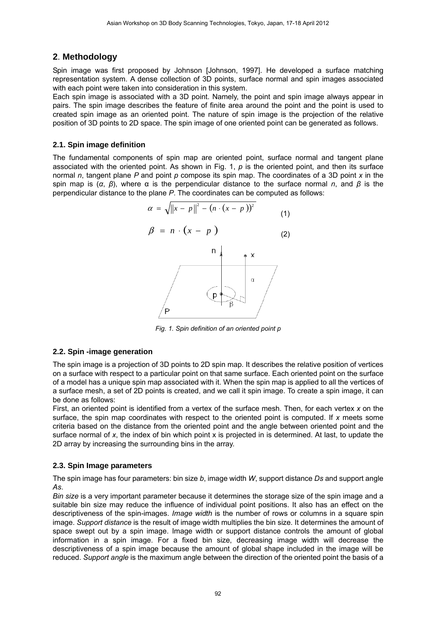# **2**. **Methodology**

Spin image was first proposed by Johnson [Johnson, 1997]. He developed a surface matching representation system. A dense collection of 3D points, surface normal and spin images associated with each point were taken into consideration in this system.

Each spin image is associated with a 3D point. Namely, the point and spin image always appear in pairs. The spin image describes the feature of finite area around the point and the point is used to created spin image as an oriented point. The nature of spin image is the projection of the relative position of 3D points to 2D space. The spin image of one oriented point can be generated as follows.

# **2.1. Spin image definition**

The fundamental components of spin map are oriented point, surface normal and tangent plane associated with the oriented point. As shown in Fig. 1, *p* is the oriented point, and then its surface normal *n*, tangent plane *P* and point *p* compose its spin map. The coordinates of a 3D point *x* in the spin map is (*α*, *β*), where α is the perpendicular distance to the surface normal *n*, and *β* is the perpendicular distance to the plane *P*. The coordinates can be computed as follows:

$$
\alpha = \sqrt{\left\|x - p\right\|^2 - \left(n \cdot (x - p)\right)^2}
$$
\n(1)  
\n
$$
\beta = n \cdot (x - p)
$$
\n(2)  
\n
$$
\alpha = \sqrt{\left\|x - p\right\|^2 - \left(n \cdot (x - p)\right)^2}
$$
\n(3)  
\n(4)  
\n(5)  
\n(6)

*Fig. 1. Spin definition of an oriented point p* 

 $\beta$ 

# **2.2. Spin -image generation**

The spin image is a projection of 3D points to 2D spin map. It describes the relative position of vertices on a surface with respect to a particular point on that same surface. Each oriented point on the surface of a model has a unique spin map associated with it. When the spin map is applied to all the vertices of a surface mesh, a set of 2D points is created, and we call it spin image. To create a spin image, it can be done as follows:

First, an oriented point is identified from a vertex of the surface mesh. Then, for each vertex *x* on the surface, the spin map coordinates with respect to the oriented point is computed. If *x* meets some criteria based on the distance from the oriented point and the angle between oriented point and the surface normal of *x*, the index of bin which point x is projected in is determined. At last, to update the 2D array by increasing the surrounding bins in the array.

# **2.3. Spin Image parameters**

The spin image has four parameters: bin size *b*, image width *W*, support distance *Ds* and support angle *As*.

*Bin size* is a very important parameter because it determines the storage size of the spin image and a suitable bin size may reduce the influence of individual point positions. It also has an effect on the descriptiveness of the spin-images. *Image width* is the number of rows or columns in a square spin image. *Support distance* is the result of image width multiplies the bin size. It determines the amount of space swept out by a spin image. Image width or support distance controls the amount of global information in a spin image. For a fixed bin size, decreasing image width will decrease the descriptiveness of a spin image because the amount of global shape included in the image will be reduced. *Support angle* is the maximum angle between the direction of the oriented point the basis of a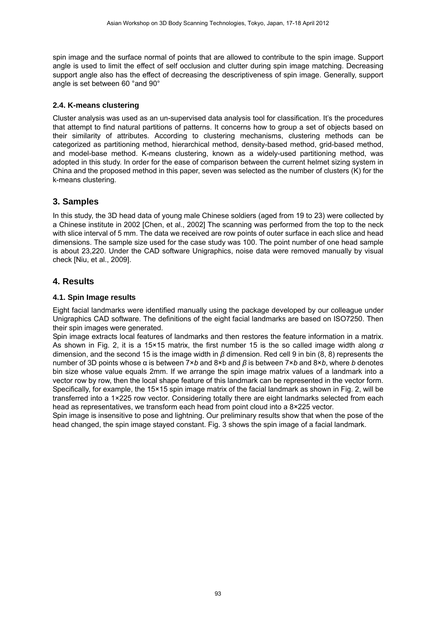spin image and the surface normal of points that are allowed to contribute to the spin image. Support angle is used to limit the effect of self occlusion and clutter during spin image matching. Decreasing support angle also has the effect of decreasing the descriptiveness of spin image. Generally, support angle is set between 60 °and 90°

#### **2.4. K-means clustering**

Cluster analysis was used as an un-supervised data analysis tool for classification. It's the procedures that attempt to find natural partitions of patterns. It concerns how to group a set of objects based on their similarity of attributes. According to clustering mechanisms, clustering methods can be categorized as partitioning method, hierarchical method, density-based method, grid-based method, and model-base method. K-means clustering, known as a widely-used partitioning method, was adopted in this study. In order for the ease of comparison between the current helmet sizing system in China and the proposed method in this paper, seven was selected as the number of clusters (K) for the k-means clustering.

# **3. Samples**

In this study, the 3D head data of young male Chinese soldiers (aged from 19 to 23) were collected by a Chinese institute in 2002 [Chen, et al., 2002] The scanning was performed from the top to the neck with slice interval of 5 mm. The data we received are row points of outer surface in each slice and head dimensions. The sample size used for the case study was 100. The point number of one head sample is about 23,220. Under the CAD software Unigraphics, noise data were removed manually by visual check [Niu, et al., 2009].

# **4. Results**

#### **4.1. Spin Image results**

Eight facial landmarks were identified manually using the package developed by our colleague under Unigraphics CAD software. The definitions of the eight facial landmarks are based on ISO7250. Then their spin images were generated.

Spin image extracts local features of landmarks and then restores the feature information in a matrix. As shown in Fig. 2, it is a 15×15 matrix, the first number 15 is the so called image width along *α* dimension, and the second 15 is the image width in *β* dimension. Red cell 9 in bin (8, 8) represents the number of 3D points whose α is between 7×*b* and 8×b and *β* is between 7×*b* and 8×*b*, where *b* denotes bin size whose value equals 2mm. If we arrange the spin image matrix values of a landmark into a vector row by row, then the local shape feature of this landmark can be represented in the vector form. Specifically, for example, the 15×15 spin image matrix of the facial landmark as shown in Fig. 2, will be transferred into a 1×225 row vector. Considering totally there are eight landmarks selected from each head as representatives, we transform each head from point cloud into a 8×225 vector.

Spin image is insensitive to pose and lightning. Our preliminary results show that when the pose of the head changed, the spin image stayed constant. Fig. 3 shows the spin image of a facial landmark.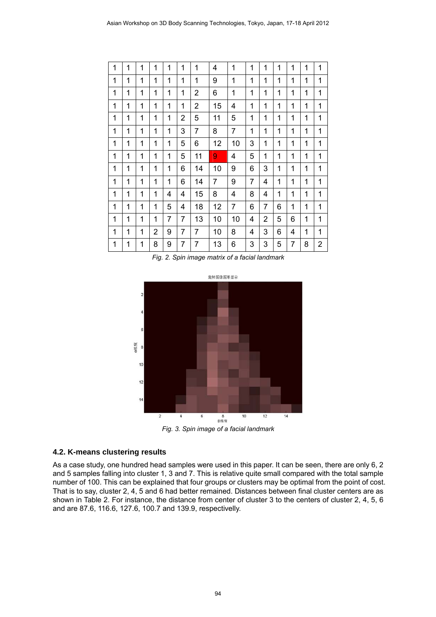| 1 | 1            | 1 | 1 | 1 | 1              | 1              | 4              | 1              | 1              | 1              | 1 | 1              | 1           | 1 |
|---|--------------|---|---|---|----------------|----------------|----------------|----------------|----------------|----------------|---|----------------|-------------|---|
| 1 | 1            | 1 | 1 | 1 | 1              | 1              | 9              | 1              | 1              | 1              | 1 | 1              | 1           | 1 |
| 1 | $\mathbf{1}$ | 1 | 1 | 1 | 1              | 2              | 6              | 1              | 1              | 1              | 1 | 1              | 1           | 1 |
| 1 | 1            | 1 | 1 | 1 | 1              | $\overline{2}$ | 15             | 4              | 1              | 1              | 1 | 1              | 1           | 1 |
| 1 | 1            | 1 | 1 | 1 | 2              | 5              | 11             | 5              | 1              | 1              | 1 | 1              | 1           | 1 |
| 1 | 1            | 1 | 1 | 1 | 3              | $\overline{7}$ | 8              | $\overline{7}$ | 1              | 1              | 1 | 1              | $\mathbf 1$ | 1 |
| 1 | 1            | 1 | 1 | 1 | 5              | 6              | 12             | 10             | 3              | 1              | 1 | 1              | 1           | 1 |
| 1 | 1            | 1 | 1 | 1 | 5              | 11             | 9              | 4              | 5              | 1              | 1 | 1              | $\mathbf 1$ | 1 |
| 1 | 1            | 1 | 1 | 1 | 6              | 14             | 10             | 9              | 6              | 3              | 1 | 1              | 1           | 1 |
| 1 | 1            | 1 | 1 | 1 | 6              | 14             | $\overline{7}$ | 9              | $\overline{7}$ | 4              | 1 | 1              | 1           | 1 |
| 1 | 1            | 1 | 1 | 4 | 4              | 15             | 8              | 4              | 8              | 4              | 1 | 1              | 1           | 1 |
| 1 | 1            | 1 | 1 | 5 | 4              | 18             | 12             | $\overline{7}$ | 6              | $\overline{7}$ | 6 | 1              | 1           | 1 |
| 1 | 1            | 1 | 1 | 7 | 7              | 13             | 10             | 10             | 4              | 2              | 5 | 6              | 1           | 1 |
| 1 | 1            | 1 | 2 | 9 | $\overline{7}$ | $\overline{7}$ | 10             | 8              | 4              | 3              | 6 | 4              | 1           | 1 |
| 1 | $\mathbf 1$  | 1 | 8 | 9 | $\overline{7}$ | $\overline{7}$ | 13             | 6              | 3              | 3              | 5 | $\overline{7}$ | 8           | 2 |

*Fig. 2. Spin image matrix of a facial landmark* 



*Fig. 3. Spin image of a facial landmark* 

#### **4.2. K-means clustering results**

As a case study, one hundred head samples were used in this paper. It can be seen, there are only 6, 2 and 5 samples falling into cluster 1, 3 and 7. This is relative quite small compared with the total sample number of 100. This can be explained that four groups or clusters may be optimal from the point of cost. That is to say, cluster 2, 4, 5 and 6 had better remained. Distances between final cluster centers are as shown in Table 2. For instance, the distance from center of cluster 3 to the centers of cluster 2, 4, 5, 6 and are 87.6, 116.6, 127.6, 100.7 and 139.9, respectivelly.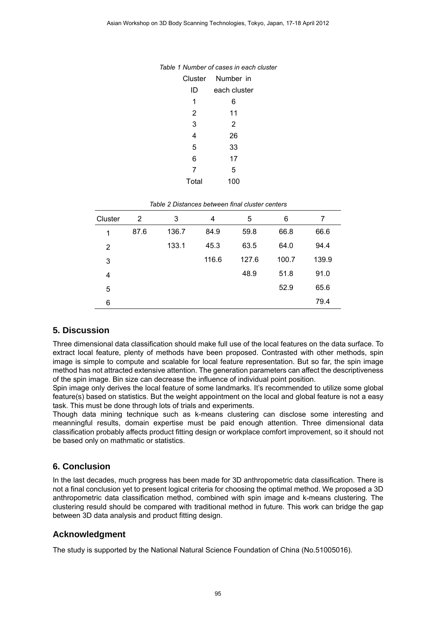|       | Cluster Number in |
|-------|-------------------|
| ID    | each cluster      |
| 1     | 6                 |
| 2     | 11                |
| 3     | 2                 |
| 4     | 26                |
| 5     | 33                |
| 6     | 17                |
| 7     | 5                 |
| Total | 100               |

|  |  | Table 1 Number of cases in each cluster |  |  |
|--|--|-----------------------------------------|--|--|
|--|--|-----------------------------------------|--|--|

| Table 2 Distances between final cluster centers |  |  |
|-------------------------------------------------|--|--|
|                                                 |  |  |

| Cluster        | $\overline{2}$ | 3     | 4     | 5     | 6     | 7     |
|----------------|----------------|-------|-------|-------|-------|-------|
| 1              | 87.6           | 136.7 | 84.9  | 59.8  | 66.8  | 66.6  |
| $\overline{2}$ |                | 133.1 | 45.3  | 63.5  | 64.0  | 94.4  |
| 3              |                |       | 116.6 | 127.6 | 100.7 | 139.9 |
| 4              |                |       |       | 48.9  | 51.8  | 91.0  |
| 5              |                |       |       |       | 52.9  | 65.6  |
| 6              |                |       |       |       |       | 79.4  |

# **5. Discussion**

Three dimensional data classification should make full use of the local features on the data surface. To extract local feature, plenty of methods have been proposed. Contrasted with other methods, spin image is simple to compute and scalable for local feature representation. But so far, the spin image method has not attracted extensive attention. The generation parameters can affect the descriptiveness of the spin image. Bin size can decrease the influence of individual point position.

Spin image only derives the local feature of some landmarks. It's recommended to utilize some global feature(s) based on statistics. But the weight appointment on the local and global feature is not a easy task. This must be done through lots of trials and experiments.

Though data mining technique such as k-means clustering can disclose some interesting and meanningful results, domain expertise must be paid enough attention. Three dimensional data classification probably affects product fitting design or workplace comfort improvement, so it should not be based only on mathmatic or statistics.

# **6. Conclusion**

In the last decades, much progress has been made for 3D anthropometric data classification. There is not a final conclusion yet to present logical criteria for choosing the optimal method. We proposed a 3D anthropometric data classification method, combined with spin image and k-means clustering. The clustering resuld should be compared with traditional method in future. This work can bridge the gap between 3D data analysis and product fitting design.

# **Acknowledgment**

The study is supported by the National Natural Science Foundation of China (No.51005016).